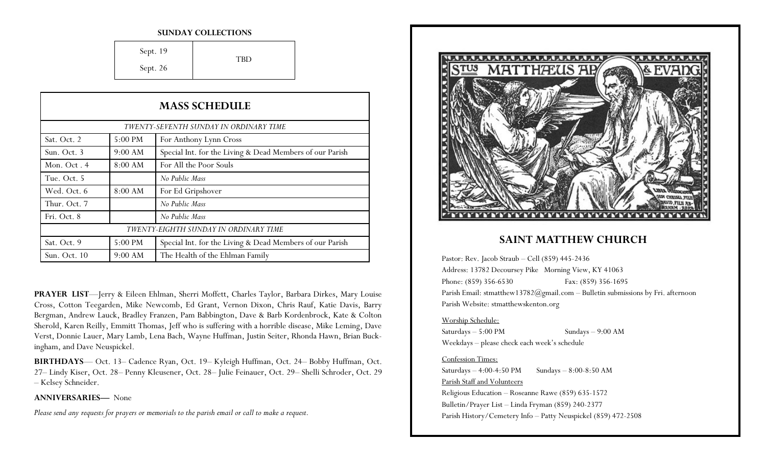#### **SUNDAY COLLECTIONS**

Sept. 19 Sept. 26 TBD

| <b>MASS SCHEDULE</b><br>TWENTY-SEVENTH SUNDAY IN ORDINARY TIME |           |                                                          |
|----------------------------------------------------------------|-----------|----------------------------------------------------------|
|                                                                |           |                                                          |
| Sun. Oct. 3                                                    | 9:00 AM   | Special Int. for the Living & Dead Members of our Parish |
| Mon. Oct. 4                                                    | 8:00 AM   | For All the Poor Souls                                   |
| Tue. Oct. 5                                                    |           | No Public Mass                                           |
| Wed. Oct. 6                                                    | 8:00 AM   | For Ed Gripshover                                        |
| Thur. Oct. 7                                                   |           | No Public Mass                                           |
| Fri. Oct. 8                                                    |           | No Public Mass                                           |
| TWENTY-EIGHTH SUNDAY IN ORDINARY TIME                          |           |                                                          |
| Sat. Oct. 9                                                    | $5:00$ PM | Special Int. for the Living & Dead Members of our Parish |
| Sun. Oct. 10                                                   | 9:00 AM   | The Health of the Ehlman Family                          |

**PRAYER LIST**—Jerry & Eileen Ehlman, Sherri Moffett, Charles Taylor, Barbara Dirkes, Mary Louise Cross, Cotton Teegarden, Mike Newcomb, Ed Grant, Vernon Dixon, Chris Rauf, Katie Davis, Barry Bergman, Andrew Lauck, Bradley Franzen, Pam Babbington, Dave & Barb Kordenbrock, Kate & Colton Sherold, Karen Reilly, Emmitt Thomas, Jeff who is suffering with a horrible disease, Mike Leming, Dave Verst, Donnie Lauer, Mary Lamb, Lena Bach, Wayne Huffman, Justin Seiter, Rhonda Hawn, Brian Buckingham, and Dave Neuspickel.

**BIRTHDAYS**— Oct. 13– Cadence Ryan, Oct. 19– Kyleigh Huffman, Oct. 24– Bobby Huffman, Oct. 27– Lindy Kiser, Oct. 28– Penny Kleusener, Oct. 28– Julie Feinauer, Oct. 29– Shelli Schroder, Oct. 29 – Kelsey Schneider.

**ANNIVERSARIES—** None

*Please send any requests for prayers or memorials to the parish email or call to make a request.*



### **SAINT MATTHEW CHURCH**

Pastor: Rev. Jacob Straub – Cell (859) 445-2436 Address: 13782 Decoursey Pike Morning View, KY 41063 Phone: (859) 356-6530 Fax: (859) 356-1695 Parish Email: stmatthew13782@gmail.com – Bulletin submissions by Fri. afternoon Parish Website: stmatthewskenton.org

#### Worship Schedule:

Saturdays – 5:00 PM Sundays – 9:00 AM Weekdays – please check each week's schedule

### Confession Times:

Saturdays  $-4:00-4:50 \text{ PM}$  Sundays  $-8:00-8:50 \text{ AM}$ Parish Staff and Volunteers Religious Education – Roseanne Rawe (859) 635-1572 Bulletin/Prayer List – Linda Fryman (859) 240-2377 Parish History/Cemetery Info – Patty Neuspickel (859) 472-2508